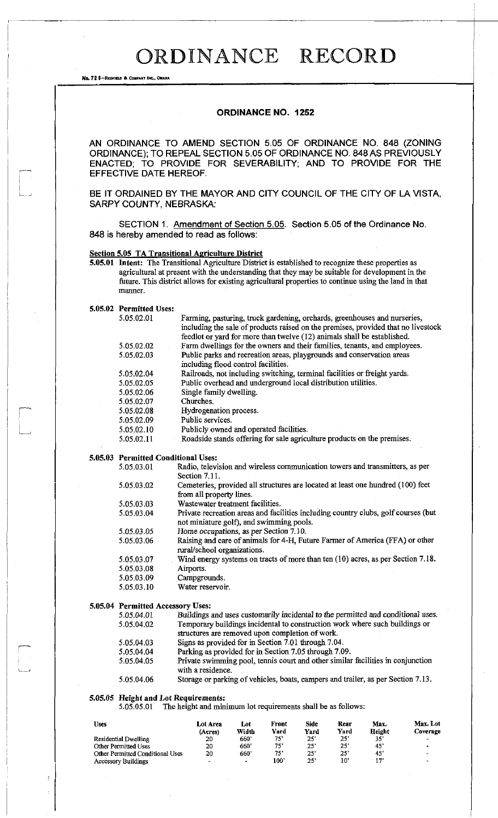## **ORDINANCE RECORD**

No. 72 6-REDFIELD & COMPANY INC., OMAHA

## **ORDINANCE NO. 1252**

AN ORDINANCE TO AMEND SECTION 5.05 OF ORDINANCE NO. 848 (ZONING ORDINANCE); TO REPEAL SECTION 5.05 OF ORDINANCE NO. 848 AS PREVIOUSLY ENACTED; TO PROVIDE FOR SEVERABILITY; AND TO PROVIDE FOR THE EFFECTIVE DATE HEREOF.

BE IT ORDAINED BY THE MAYOR AND CITY COUNCIL OF THE CITY OF LA VISTA, SARPY COUNTY, NEBRASKA:

SECTION 1. Amendment of Section 5.05. Section 5.05 of the Ordinance No. 848 is hereby amended to read as follows:

## **Section 5.05 TA Transitional Agriculture District**

**5.05.01 Intent:** The Transitional Agriculture District is established to recognize these properties as agricultural at present with the understanding that they may be suitable for development in the future. This district allows for existing agricultural properties to continue using the land in that manner.

Farming, pasturing, truck gardening, orchards, greenhouses and nurseries,

**5.05.02 Permitted Uses:**  5.05.02.01

|                                     | - williams public map, www. Surveys, continuous, soviet was well in the<br>including the sale of products raised on the premises, provided that no livestock<br>feedlot or yard for more than twelve (12) animals shall be established. |  |  |  |  |  |
|-------------------------------------|-----------------------------------------------------------------------------------------------------------------------------------------------------------------------------------------------------------------------------------------|--|--|--|--|--|
| 5.05.02.02                          | Farm dwellings for the owners and their families, tenants, and employees.                                                                                                                                                               |  |  |  |  |  |
| 5.05.02.03                          | Public parks and recreation areas, playgrounds and conservation areas<br>including flood control facilities.                                                                                                                            |  |  |  |  |  |
| 5.05.02.04                          | Railroads, not including switching, terminal facilities or freight yards.                                                                                                                                                               |  |  |  |  |  |
| 5.05.02.05                          | Public overhead and underground local distribution utilities.                                                                                                                                                                           |  |  |  |  |  |
| 5.05.02.06                          | Single family dwelling.                                                                                                                                                                                                                 |  |  |  |  |  |
| 5.05.02.07                          | Churches.                                                                                                                                                                                                                               |  |  |  |  |  |
| 5.05.02.08                          | Hydrogenation process.                                                                                                                                                                                                                  |  |  |  |  |  |
| 5.05.02.09                          | Public services.                                                                                                                                                                                                                        |  |  |  |  |  |
| 5.05.02.10                          | Publicly owned and operated facilities.                                                                                                                                                                                                 |  |  |  |  |  |
| 5.05.02.11                          | Roadside stands offering for sale agriculture products on the premises.                                                                                                                                                                 |  |  |  |  |  |
| 5.05.03 Permitted Conditional Uses: |                                                                                                                                                                                                                                         |  |  |  |  |  |
| 5.05.03.01                          | Radio, television and wireless communication towers and transmitters, as per<br>Section 7.11.                                                                                                                                           |  |  |  |  |  |
| 5.05.03.02                          | Cemeteries, provided all structures are located at least one hundred (100) feet<br>from all property lines.                                                                                                                             |  |  |  |  |  |
| 5.05.03.03                          | Wastewater treatment facilities.                                                                                                                                                                                                        |  |  |  |  |  |
| 5.05.03.04                          | Private recreation areas and facilities including country clubs, golf courses (but<br>not miniature golf), and swimming pools.                                                                                                          |  |  |  |  |  |
| 5.05.03.05                          | Home occupations, as per Section 7.10.                                                                                                                                                                                                  |  |  |  |  |  |
| 5.05.03.06                          | Raising and care of animals for 4-H, Future Farmer of America (FFA) or other<br>rural/school organizations.                                                                                                                             |  |  |  |  |  |
| 5.05.03.07                          | Wind energy systems on tracts of more than ten (10) acres, as per Section 7.18.                                                                                                                                                         |  |  |  |  |  |
| 5.05.03.08                          | Airports.                                                                                                                                                                                                                               |  |  |  |  |  |
| 5.05.03.09                          | Campgrounds.                                                                                                                                                                                                                            |  |  |  |  |  |
| 5.05.03.10                          | Water reservoir.                                                                                                                                                                                                                        |  |  |  |  |  |
| 5.05.04 Permitted Accessory Uses:   |                                                                                                                                                                                                                                         |  |  |  |  |  |
| 5.05.04.01                          | Buildings and uses customarily incidental to the permitted and conditional uses.                                                                                                                                                        |  |  |  |  |  |
| 5.05.04.02                          | Temporary buildings incidental to construction work where such buildings or<br>structures are removed upon completion of work.                                                                                                          |  |  |  |  |  |
| 5.05.04.03                          | Signs as provided for in Section 7.01 through 7.04.                                                                                                                                                                                     |  |  |  |  |  |
| 5.05.04.04                          | Parking as provided for in Section 7.05 through 7.09.                                                                                                                                                                                   |  |  |  |  |  |
| 5.05.04.05                          | Private swimming pool, tennis court and other similar facilities in conjunction<br>with a residence.                                                                                                                                    |  |  |  |  |  |
| 5.05.04.06                          | Storage or parking of vehicles, boats, campers and trailer, as per Section 7.13.                                                                                                                                                        |  |  |  |  |  |

## **5.05.05 Height and Lot Requirements:**

5.05.05.01 The height and minimum lot requirements shall be as follows:

| Uses                             | Lot Area<br>(Acres)      | Lot<br>Width             | Front<br>Yard | Side<br>Yard | Rear<br>Yard | Max.<br>Height | Max. Lot<br>Coverage     |
|----------------------------------|--------------------------|--------------------------|---------------|--------------|--------------|----------------|--------------------------|
| <b>Residential Dwelling</b>      | 20                       | 660'                     | 75'           | $25^\circ$   | 25'          | 35°            | $\overline{\phantom{a}}$ |
| Other Permitted Uses             | 20                       | 660'                     | 75'           | $25^{\circ}$ | 25'          | 45'            | ۰                        |
| Other Permitted Conditional Uses | 20                       | 660'                     | 75'           | 25'          | 25'          | 45'            | $\overline{\phantom{0}}$ |
| <b>Accessory Buildings</b>       | $\overline{\phantom{a}}$ | $\overline{\phantom{a}}$ | 100'          | $25^\circ$   | 10'          | י דו           | $\sim$                   |